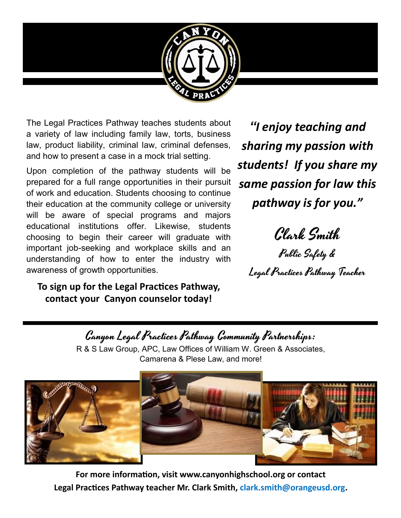

The Legal Practices Pathway teaches students about a variety of law including family law, torts, business law, product liability, criminal law, criminal defenses, and how to present a case in a mock trial setting.

Upon completion of the pathway students will be prepared for a full range opportunities in their pursuit of work and education. Students choosing to continue their education at the community college or university will be aware of special programs and majors educational institutions offer. Likewise, students choosing to begin their career will graduate with important job-seeking and workplace skills and an understanding of how to enter the industry with awareness of growth opportunities.

**To sign up for the Legal Practices Pathway, contact your Canyon counselor today!** 

*"I enjoy teaching and sharing my passion with students! If you share my same passion for law this pathway is for you."*

Clark Smith

Public Safety & Legal Practices Pathway Teacher

Canyon Legal Practices Pathway Community Partnerships:

R & S Law Group, APC, Law Offices of William W. Green & Associates, Camarena & Plese Law, and more!



**For more information, visit www.canyonhighschool.org or contact Legal Practices Pathway teacher Mr. Clark Smith, clark.smith@orangeusd.org.**